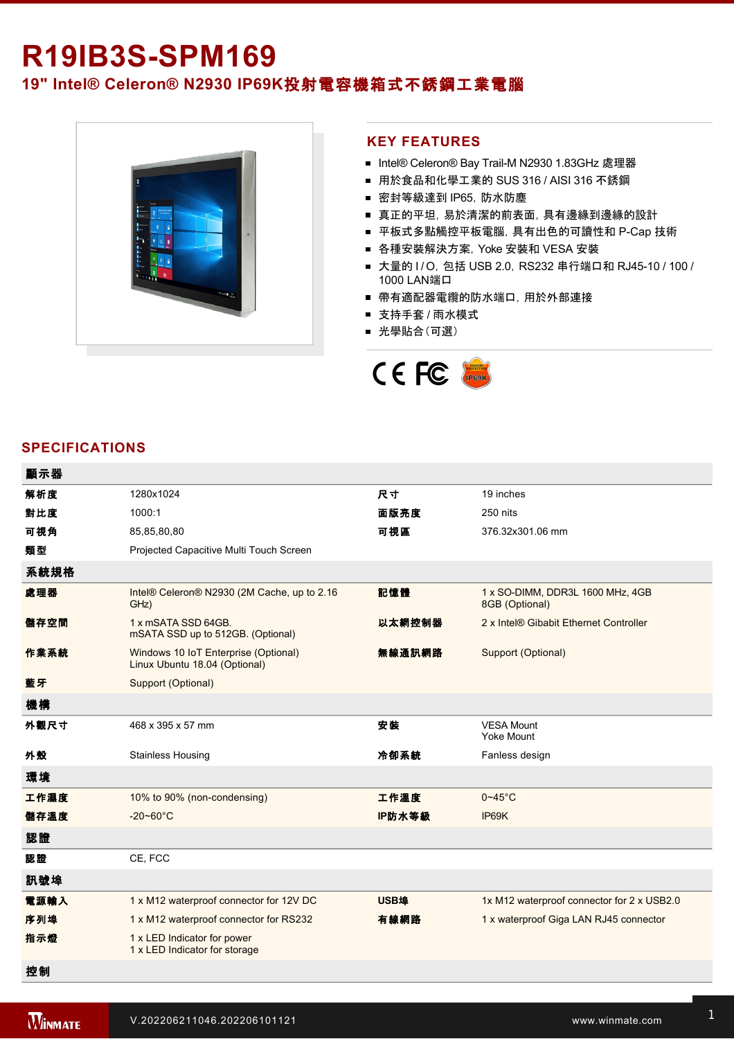# **R19IB3S-SPM169 19" Intel® Celeron® N2930 IP69K**投射電容機箱式不銹鋼工業電腦



#### **KEY FEATURES**

- Intel® Celeron® Bay Trail-M N2930 1.83GHz 處理器
- 用於食品和化學工業的 SUS 316 / AISI 316 不銹鋼
- 密封等級達到 IP65, 防水防塵
- 真正的平坦, 易於清潔的前表面, 具有邊緣到邊緣的設計
- 平板式多點觸控平板電腦, 具有出色的可讀性和 P-Cap 技術
- 各種安裝解決方案, Yoke 安裝和 VESA 安裝
- 大量的 I/O, 包括 USB 2.0, RS232 串行端口和 RJ45-10 / 100 / 1000 LAN端口
- 帶有適配器電纜的防水端口, 用於外部連接
- 支持手套 / 雨水模式
- 光學貼合(可選)



#### **SPECIFICATIONS**

| 顯示器  |                                                                       |             |                                                    |
|------|-----------------------------------------------------------------------|-------------|----------------------------------------------------|
| 解析度  | 1280x1024                                                             | 尺寸          | 19 inches                                          |
| 對比度  | 1000:1                                                                | 面版亮度        | 250 nits                                           |
| 可視角  | 85,85,80,80                                                           | 可視區         | 376.32x301.06 mm                                   |
| 類型   | Projected Capacitive Multi Touch Screen                               |             |                                                    |
| 系統規格 |                                                                       |             |                                                    |
| 處理器  | Intel® Celeron® N2930 (2M Cache, up to 2.16<br>GHz)                   | 記憶體         | 1 x SO-DIMM, DDR3L 1600 MHz, 4GB<br>8GB (Optional) |
| 儲存空間 | 1 x mSATA SSD 64GB.<br>mSATA SSD up to 512GB. (Optional)              | 以太網控制器      | 2 x Intel® Gibabit Ethernet Controller             |
| 作業系統 | Windows 10 IoT Enterprise (Optional)<br>Linux Ubuntu 18.04 (Optional) | 無線通訊網路      | Support (Optional)                                 |
| 藍牙   | Support (Optional)                                                    |             |                                                    |
| 機構   |                                                                       |             |                                                    |
| 外觀尺寸 | 468 x 395 x 57 mm                                                     | 安裝          | <b>VESA Mount</b><br><b>Yoke Mount</b>             |
| 外殼   | <b>Stainless Housing</b>                                              | 冷卻系統        | Fanless design                                     |
| 環境   |                                                                       |             |                                                    |
| 工作濕度 | 10% to 90% (non-condensing)                                           | 工作溫度        | $0 - 45$ °C                                        |
| 儲存溫度 | $-20 - 60^{\circ}C$                                                   | IP防水等級      | IP69K                                              |
| 認證   |                                                                       |             |                                                    |
| 認證   | CE, FCC                                                               |             |                                                    |
| 訊號埠  |                                                                       |             |                                                    |
| 電源輸入 | 1 x M12 waterproof connector for 12V DC                               | <b>USB埠</b> | 1x M12 waterproof connector for 2 x USB2.0         |
| 序列埠  | 1 x M12 waterproof connector for RS232                                | 有線網路        | 1 x waterproof Giga LAN RJ45 connector             |
| 指示燈  | 1 x LED Indicator for power<br>1 x LED Indicator for storage          |             |                                                    |
| 控制   |                                                                       |             |                                                    |

1 x Reset Button